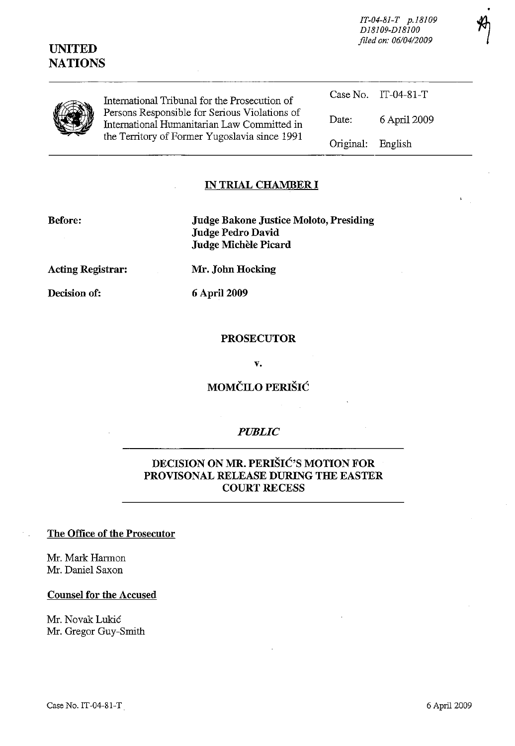# **UNITED NATIONS**

*IT-04-81-T p.18109 D18109-D18100 filed on: 0610412009* 



International Tribunal for the Prosecution of Persons Responsible for Serious Violations of International Humanitarian Law Committed in the Territory of Former Yugoslavia since 1991

Case No. IT-04-81-T Date: 6 April 2009 Original: English

### **IN TRIAL CHAMBER I**

**Before: Judge Bakone Justice Moloto, Presiding Judge Pedro David Judge Michele Picard** 

**Decision of: 6** April 2009

**Acting Registrar: Mr. John Hocking** 

#### **PROSECUTOR**

**v.** 

# MOMČILO PERIŠIĆ

## *PUBLIC*

## **DECISION ON MR.** PERIŠIĆ'S **MOTION FOR PROVISONAL RELEASE DURING THE EASTER COURT RECESS**

#### **The Office of the Prosecutor**

Mr. Mark Harmon Mr. Daniel Saxon

#### **Counsel for the Accused**

Mr. Novak Lukić Mr. Gregor Guy-Smith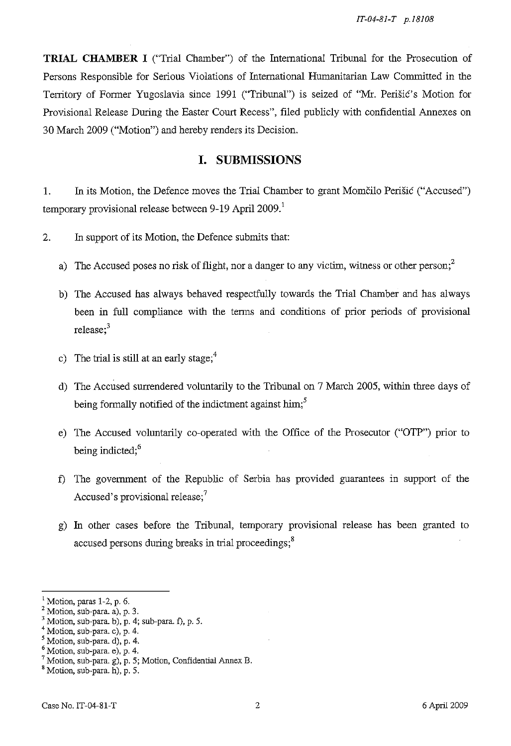**TRIAL CHAMBER I** ("Trial Chamber") of the International Tribunal for the Prosecution of Persons Responsible for Serious Violations of International Humanitarian Law Committed in the Territory of Former Yugoslavia since 1991 ("Tribunal") is seized of "Mr. Perišić's Motion for Provisional Release During the Easter Court Recess", filed publicly with confidential Annexes on 30 March 2009 ("Motion") and hereby renders its Decision.

# **I. SUBMISSIONS**

1. In its Motion, the Defence moves the Trial Chamber to grant Momčilo Perišić ("Accused") temporary provisional release between 9-19 April  $2009$ .<sup>1</sup>

2. In support of its Motion, the Defence submits that:

- a) The Accused poses no risk of flight, nor a danger to any victim, witness or other person;<sup>2</sup>
- b) The Accused has always behaved respectfully towards the Trial Chamber and has always been in full compliance with the tenns and conditions of prior periods of provisional release; $3$
- c) The trial is still at an early stage; $4$
- d) The Accused surrendered voluntarily to the Tribunal on 7 March 2005, within three days of being formally notified of the indictment against him;<sup>5</sup>
- e) The Accused voluntarily co-operated with the Office of the Prosecutor ("OTP") prior to being indicted;<sup>6</sup>
- f) The government of the Republic of Serbia has provided guarantees in support of the Accused's provisional release;<sup>7</sup>
- g) In other cases before the Tribunal, temporary provisional release has been granted to accused persons during breaks in trial proceedings;<sup>8</sup>

Motion, paras 1-2, p. 6.

Motion, sub-para. a), p. 3.

Motion, sub-para. b),  $p. 4$ ; sub-para. f), p. 5.

Motion, sub-para. c), p. 4.

Motion, sub-para. d), p. 4.

Motion, sub-para. e), p. 4.

Motion, sub-para. g), p. 5; Motion, Confidential Annex B.

s Motion, sub-para. h), p. 5.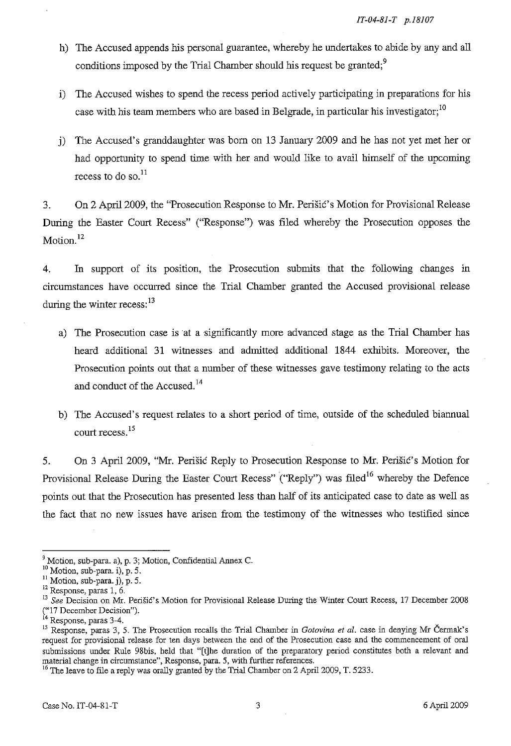- h) The Accused appends his personal guarantee, whereby he undertakes to abide by any and all conditions imposed by the Trial Chamber should his request be granted;<sup>9</sup>
- i) The Accused wishes to spend the recess period actively participating in preparations for his case with his team members who are based in Belgrade, in particular his investigator;<sup>10</sup>
- j) The Accused's granddaughter was born on 13 January 2009 and he has not yet met her or had opportunity to spend time with her and would like to avail himself of the upcoming recess to do so. $^{11}$

3. On 2 April 2009, the "Prosecution Response to Mr. Perišić' s Motion for Provisional Release During the Easter Court Recess" ("Response") was filed whereby the Prosecution opposes the Motion. $^{12}$ 

4. In support of its position, the Prosecution submits that the following changes in circumstances have occurred since the Trial Chamber granted the Accused provisional release during the winter recess:  $13$ 

- a) The Prosecution case is at a significantly more advanced stage as the Trial Chamber has heard additional 31 witnesses and admitted additional 1844 exhibits. Moreover, the Prosecution points out that a number of these witnesses gave testimony relating to the acts and conduct of the Accused.<sup>14</sup>
- b) The Accused's request relates to a short period of time, outside of the scheduled biannual court recess. 15

5. On 3 April 2009, "Mr. Perišić Reply to Prosecution Response to Mr. Perišić's Motion for Provisional Release During the Easter Court Recess" ("Reply") was filed<sup>16</sup> whereby the Defence points out that the Prosecution has presented less than half of its anticipated case to date as well as the fact that no new issues have arisen from the testimony of the witnesses who testified since

 $9$  Motion, sub-para. a), p. 3; Motion, Confidential Annex C.

<sup>10</sup> Motion, sub-para. i), p. 5.

 $\frac{11}{11}$  Motion, sub-para. j), p. 5.

<sup>&</sup>lt;sup>12</sup> Response, paras 1, 6.

<sup>&</sup>lt;sup>13</sup> See Decision on Mr. Perišić's Motion for Provisional Release During the Winter Court Recess, 17 December 2008

<sup>(&</sup>quot;17 December Decision").

<sup>&</sup>lt;sup>14</sup> Response, paras 3-4.

<sup>&</sup>lt;sup>15</sup> Response, paras 3, 5. The Prosecution recalls the Trial Chamber in *Gotovina et al.* case in denying Mr Čermak's **request for provisional release for ten days between the end of the Prosecution case and the commencement of oral**  submissions under Rule 98bis, held that "[tlhe duration of the preparatory period constitutes both a relevant and **material change in circumstance", Response, para. 5, with further references.** 

<sup>&</sup>lt;sup>16</sup> The leave to file a reply was orally granted by the Trial Chamber on 2 April 2009, T. 5233.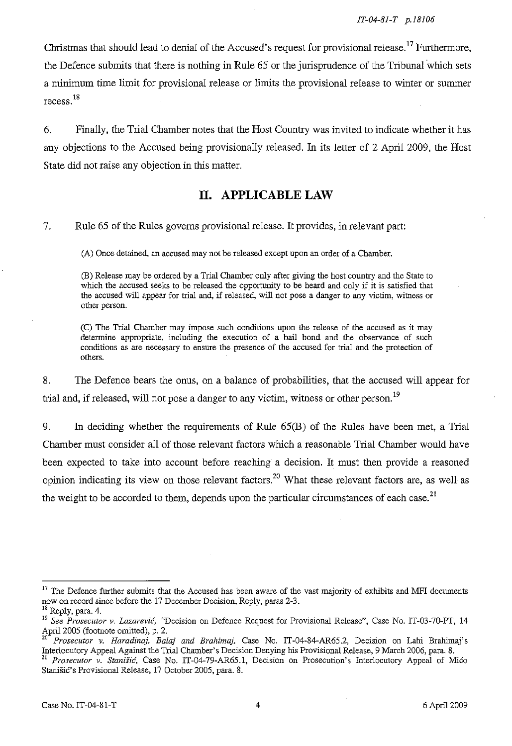Christmas that should lead to denial of the Accused's request for provisional release.<sup>17</sup> Furthermore, the Defence submits that there is nothing in Rule 65 or the jurisprudence of the Tribunal'which sets a minimum time limit for provisional release or limits the provisional release to winter or summer recess. <sup>18</sup>

6. Finally, the Trial Chamber notes that the Host Country was invited to indicate whether it has any objections to the Accused being provisionally released. In its letter of 2 April 2009, the Host State did not raise any objection in this matter.

## **II. APPLICABLE LAW**

7. Rule 65 of the Rules governs provisional release. It provides, in relevant part:

(A) Once detained, an accused may not be released except upon an order of a Chamber.

(B) Release may be ordered by a Trial Chamber only after giving the host country and the State to which the accused seeks to be released the opportunity to be heard and only if it is satisfied that **the accused will appear for trial and, if released, will not pose a danger to any victim, witness or**  other person.

(C) The Trial Chamber may impose such conditions upon the release of the accused as it may determine appropriate, including the execution of a bail bond and the observance of such **conditions as are necessary to ensure the presence of the accused for trial and the protection of**  others.

8. The Defence bears the onus, on a balance of probabilities, that the accused will appear for trial and, if released, will not pose a danger to any victim, witness or other person.<sup>19</sup>

9. In deciding whether the requirements of Rule 65(B) of the Rules have been met, a Trial Chamber must consider **all** of those relevant factors which a reasonable Trial Chamber would have been expected to take into account before reaching a decision. It must then provide a reasoned opinion indicating its view on those relevant factors.<sup>20</sup> What these relevant factors are, as well as the weight to be accorded to them, depends upon the particular circumstances of each case.<sup>21</sup>

 $17$  The Defence further submits that the Accused has been aware of the vast majority of exhibits and MFI documents now on record since before the 17 December Decision, Reply, paras 2-3. <sup>18</sup> Reply, para. 4.

*<sup>19</sup> See Prosecutor v.* Lazarević, "Decision on Defence Request for Provisional Release", Case No. IT-03-70-PT, 14 April 2005 (footnote omitted), p. 2.<br> $20\frac{\text{p}}{\text{p}}$ 

<sup>20</sup>*Prosecutor v. Haradinaj, Balaj and Brahimaj,* Case No. IT-04-84-AR65.2, Decision on Lahi Brahimaj's Interlocutory Appeal Against the Trial Chamber's Decision Denying his Provisional Release, 9 March 2006, para. 8.

Prosecutor v. Stanišić, Case No. IT-04-79-AR65.1, Decision on Prosecution's Interlocutory Appeal of Mićo Stanišić's Provisional Release, 17 October 2005, para. 8.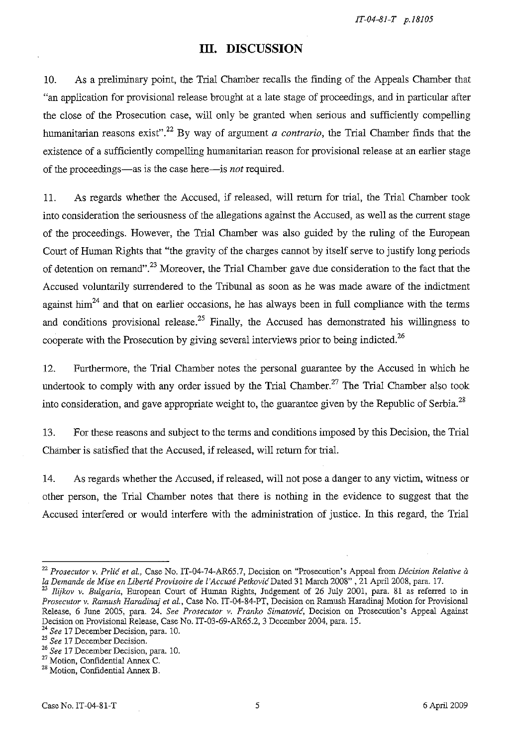*IT-04-8J-T p.J8J05* 

# **III. DISCUSSION**

10. As a preliminary point, the Trial Chamber recalls the finding of the Appeals Chamber that "an application for provisional release brought at a late stage of proceedings, and in particular after the close of the Prosecution case, will only be granted when serious and sufficiently compelling humanitarian reasons exist".<sup>22</sup> By way of argument *a contrario*, the Trial Chamber finds that the existence of a sufficiently compelling humanitarian reason for provisional release at an earlier stage of the proceedings-as is the case here-is *not* required.

11. As regards whether the Accused, if released, will return for trial, the Trial Chamber took into consideration the seriousness of the allegations against the Accused, as well as the current stage of the proceedings. However, the Trial Chamber was also guided by the ruling of the European Court of Human Rights that "the gravity of the charges cannot by itself serve to justify long periods of detention on remand".<sup>23</sup> Moreover, the Trial Chamber gave due consideration to the fact that the Accused voluntarily surrendered to the Tribunal as soon as he was made aware of the indictment against him<sup>24</sup> and that on earlier occasions, he has always been in full compliance with the terms and conditions provisional release.<sup>25</sup> Finally, the Accused has demonstrated his willingness to cooperate with the Prosecution by giving several interviews prior to being indicted.<sup>26</sup>

12. Furthermore, the Trial Chamber notes the personal guarantee by the Accused in which he undertook to comply with any order issued by the Trial Chamber.<sup>27</sup> The Trial Chamber also took into consideration, and gave appropriate weight to, the guarantee given by the Republic of Serbia.<sup>28</sup>

13. For these reasons and subject to the terms and conditions imposed by this Decision, the Trial Chamber is satisfied that the Accused, if released, will return for trial.

14. As regards whether the Accused, if released, will not pose a danger to any victim, witness or other person, the Trial Chamber notes that there is nothing in the evidence to suggest that the Accused interfered or would interfere with the administration of justice. In this regard, the Trial

<sup>&</sup>lt;sup>22</sup> Prosecutor v. Prlić et al., Case No. IT-04-74-AR65.7, Decision on "Prosecution's Appeal from *Décision Relative à la Demande de Mise en Liberte Provisoire de l 'Accuse* Petković Dated 31 March 2008" , 21 April 2008, para. 17.

<sup>23</sup>*Ilijkov* v. *Bulgaria,* European Court of Human Rights, Judgement of 26 July 2001, para. 81 as referred to in *Prosecutor v. Ramush Haradinaj et al.,* Case No. IT-04-84-PT, Decision on Ramush Haradinaj Motion for Provisional Release, 6 June 2005, para. 24. *See Prosecutor v. Franko Simatović*, Decision on Prosecution's Appeal Against Decision on Provisional Release, Case No. IT-03-69-AR65.2, 3 December 2004, para. IS.

<sup>24</sup>*See* 17 December Decision, para. lO.

*<sup>25</sup> See* 17 December Decision.

*<sup>26</sup> See* 17 December Decision, para. 10.

<sup>27</sup> Motion, Confidential Annex C.

<sup>&</sup>lt;sup>28</sup> Motion, Confidential Annex B.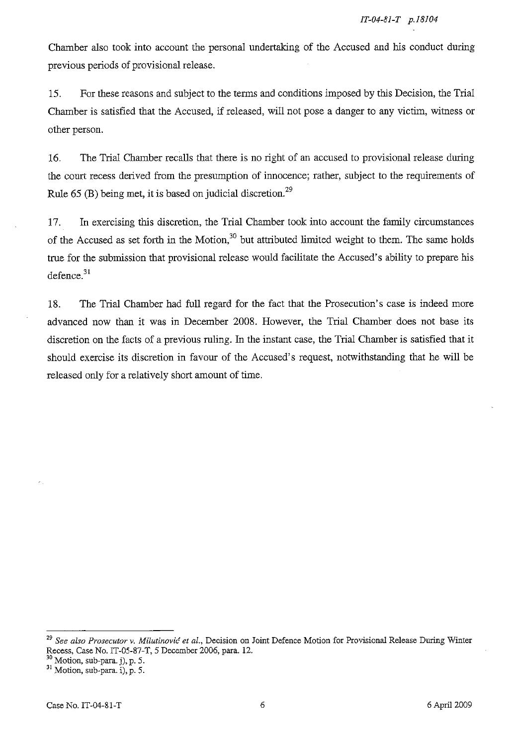Chamber also took into account the personal undertaking of the Accused and his conduct during previous periods of provisional release.

15. For these reasons and subject to the terms and conditions imposed by this Decision, the Trial Chamber is satisfied that the Accused, if released, will not pose a danger to any victim, witness or other person.

16. The Trial Chamber recalis that there is no right of an accused to provisional release during the court recess derived from the presumption of innocence; rather, subject to the requirements of Rule  $65$  (B) being met, it is based on judicial discretion.<sup>29</sup>

17. In exercising this discretion, the Trial Chamber took into account the family circumstances of the Accused as set forth in the Motion,<sup>30</sup> but attributed limited weight to them. The same holds true for the submission that provisional release would facilitate the Accused' s ability to prepare his defence.<sup>31</sup>

18. The Trial Chamber had full regard for the fact that the Prosecution's case is indeed more advanced now than it was in December 2008. However, the Trial Chamber does not base its discretion on the facts of a previous ruling. In the instant case, the Trial Chamber is satisfied that it should exercise its discretion in favour of the Accused's request, notwithstanding that he will be released only for a relatively short amount of time.

*<sup>29</sup> See also Prosecutor* **v.** Milutinović *et al.,* **Decision on Joint Defence Motion for Provisional Release During Winter**  Recess, Case No. IT-05-87-T, 5 December 2006, para. 12.

 $30$  Motion, sub-para. j), p. 5.

 $31$  Motion, sub-para. i), p. 5.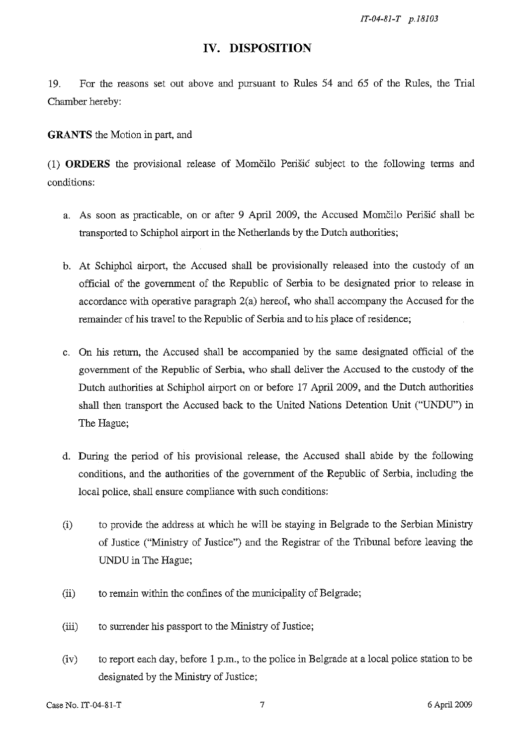*IT-04-8J-T p.J8J03* 

## **IV. DISPOSITION**

19. For the reasons set out above and pursuant to Rules 54 and 65 of the Rules, the Trial Chamber hereby:

**GRANTS** the Motion in part, and

(1) **ORDERS** the provisional release of Momčilo Perišić subject to the following terms and conditions:

- a. As soon as practicable, on or after 9 April 2009, the Accused Momčilo Perišić shall be transported to Schiphol airport in the Netherlands by the Dutch authorities;
- b. At Schiphol airport, the Accused shall be provisionally released into the custody of an official of the government of the Republic of Serbia to be designated prior to release in accordance with operative paragraph 2(a) hereof, who shall accompany the Accused for the remainder of his travel to the Republic of Serbia and to his place of residence;
- c. On his return, the Accused shall be accompanied by the same designated official of the government of the Republic of Serbia, who shall deliver the Accused to the custody of the Dutch authorities at Schiphol airport on or before 17 April 2009, and the Dutch authorities shall then transport the Accused back to the United Nations Detention Unit ("UNDU") in The Hague;
- d. During the period of his provisional release, the Accused shall abide by the following conditions, and the authorities of the government of the Republic of Serbia, including the local police, shall ensure compliance with such conditions:
- (i) to provide the address at which he will be staying in Belgrade to the Serbian Ministry of Justice ("Ministry of Justice") and the Registrar of the Tribunal before leaving the VNDU in The Hague;
- (ii) to remain within the confines of the municipality of Belgrade;
- (iii) to surrender his passport to the Ministry of Justice;
- (iv) to report each day, before 1 p.m., to the police in Belgrade at a local police station to be designated by the Ministry of Justice;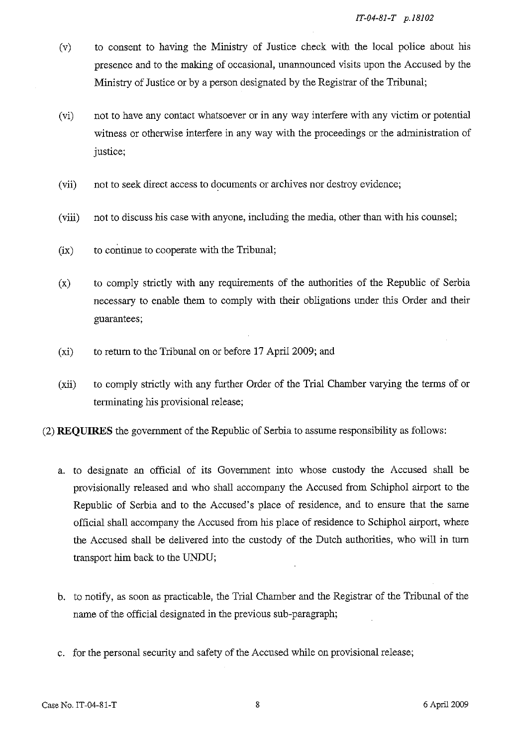- (v) to consent to having the Ministry of Justice check with the local police about his presence and to the making of occasional, unannounced visits upon the Accused by the Ministry of Justice or by a person designated by the Registrar of the Tribunal;
- (vi) not to have any contact whatsoever or in any way interfere with any victim or potential witness or otherwise interfere in any way with the proceedings or the administration of justice;
- (vii) not to seek direct access to documents or archives nor destroy evidence;
- (viii) not to discuss his case with anyone, including the media, other than with his counsel;
- (ix) to continue to cooperate with the Tribunal;
- (x) to comply strictly with any requirements of the authorities of the Republic of Serbia necessary to enable them to comply with their obligations under this Order and their guarantees;
- (xi) to retum to the Tribunal on or before 17 April 2009; and
- (xii) to comply strictly with any further Order of the Trial Chamber varying the terms of or terrninating his provisional release;
- (2) **REQUIRES** the government of the Republic of Serbia to assume responsibility as follows:
	- a. to designate an official of its Government into whose custody the Accused shall be provisionally released and who shall accompany the Accused from Schiphol airport to the Republic of Serbia and to the Accused's place of residence, and to ensure that the same official shall accompany the Accused from his place of residence to Schiphol airport, where the Accused shall be delivered into the custody of the Dutch authorities, who will in tum transport him back to the VNDU;
	- b. to notify, as soon as practicable, the Trial Chamber and the Registrar of the Tribunal of the name of the official designated in the previous sub-paragraph;
	- c. for the personal security and safety of the Accused while on provisional release;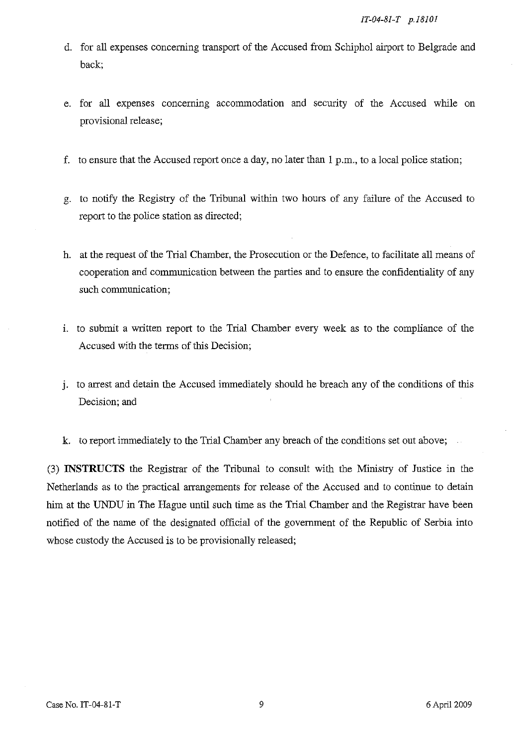- d. for all expenses concerning transport of the Accused from Schiphol airport to Belgrade and back;
- e. for all expenses concerning accommodation and security of the Accused while on provisional release;
- f. to ensure that the Accused report once a day, no later than 1 p.m., to a local police station;
- g. to notify the Registry of the Tribunal within two hours of any failure of the Accused to report to the police station as directed;
- h. at the request of the Trial Chamber, the Prosecution or the Defence, to facilitate all means of cooperation and communication between the parties and to ensure the confidentiality of any such communication;
- 1. to submit a written report to the Trial Chamber every week as to the compliance of the Accused with the terms of this Decision;
- J. to arrest and detain the Accused immediately should he breach any of the conditions of this Decision; and
- k. to report immediately to the Trial Chamber any breach of the conditions set out above;

(3) **INSTRUCTS** the Registrar of the Tribunal to consult with the Ministry of Justice in the Netherlands as to the practical arrangements for release of the Accused and to continue to detain him at the **VNDU** in The Hague until such time as the Trial Chamber and the Registrar have been notified of the name of the designated official of the government of the Republic of Serbia into whose custody the Accused is to be provisionally released;